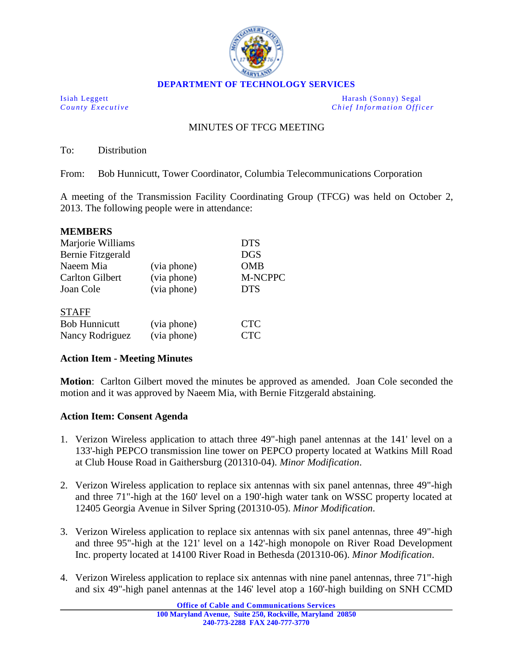

**DEPARTMENT OF TECHNOLOGY SERVICES**

Isiah Leggett Harash (Sonny) Segal *County Executive Chief Information Officer*

## MINUTES OF TFCG MEETING

To: Distribution

From: Bob Hunnicutt, Tower Coordinator, Columbia Telecommunications Corporation

A meeting of the Transmission Facility Coordinating Group (TFCG) was held on October 2, 2013. The following people were in attendance:

| <b>MEMBERS</b>         |             |                |
|------------------------|-------------|----------------|
| Marjorie Williams      |             | <b>DTS</b>     |
| Bernie Fitzgerald      |             | <b>DGS</b>     |
| Naeem Mia              | (via phone) | <b>OMB</b>     |
| <b>Carlton Gilbert</b> | (via phone) | <b>M-NCPPC</b> |
| Joan Cole              | (via phone) | <b>DTS</b>     |
|                        |             |                |
| <b>STAFF</b>           |             |                |
| <b>Bob Hunnicutt</b>   | (via phone) | $\Gamma$       |

Nancy Rodriguez (via phone) CTC

## **Action Item - Meeting Minutes**

**Motion**: Carlton Gilbert moved the minutes be approved as amended. Joan Cole seconded the motion and it was approved by Naeem Mia, with Bernie Fitzgerald abstaining.

## **Action Item: Consent Agenda**

- 1. Verizon Wireless application to attach three 49"-high panel antennas at the 141' level on a 133'-high PEPCO transmission line tower on PEPCO property located at Watkins Mill Road at Club House Road in Gaithersburg (201310-04). *Minor Modification*.
- 2. Verizon Wireless application to replace six antennas with six panel antennas, three 49"-high and three 71"-high at the 160' level on a 190'-high water tank on WSSC property located at 12405 Georgia Avenue in Silver Spring (201310-05). *Minor Modification*.
- 3. Verizon Wireless application to replace six antennas with six panel antennas, three 49"-high and three 95"-high at the 121' level on a 142'-high monopole on River Road Development Inc. property located at 14100 River Road in Bethesda (201310-06). *Minor Modification*.
- 4. Verizon Wireless application to replace six antennas with nine panel antennas, three 71"-high and six 49"-high panel antennas at the 146' level atop a 160'-high building on SNH CCMD